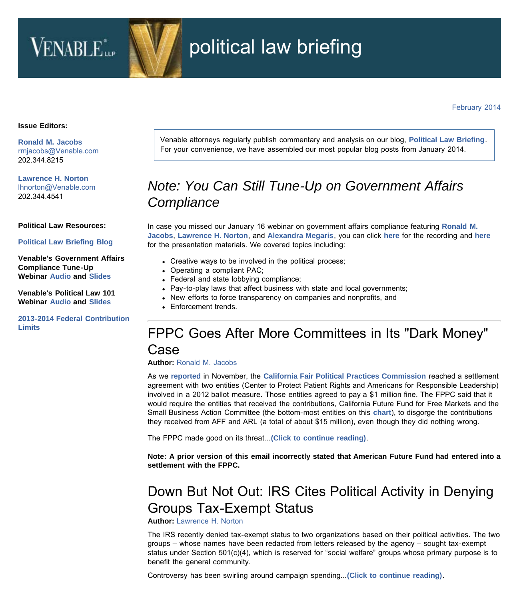# VENABLE<sup>\*</sup>

# political law briefing

February 2014

#### **Issue Editors:**

**[Ronald M. Jacobs](http://www.venable.com/Ronald-M-Jacobs)** [rmjacobs@Venable.com](mailto:rmjacobs@Venable.com)  202.344.8215

**[Lawrence H. Norton](http://www.venable.com/Lawrence-H-Norton)** [lhnorton@Venable.com](mailto:lhnorton@Venable.com)  202.344.4541

**Political Law Resources:**

**[Political Law Briefing Blog](http://www.politicallawbriefing.com/)**

**Venable's Government Affairs Compliance Tune-Up Webinar [Audio](http://cc.readytalk.com/play?id=akmvz) and [Slides](http://www.venable.com/files/Event/91c90637-dcea-44ee-99bc-b33ec0536844/Preview/EventAttachment/7e73780c-4660-42b9-9d71-f3eed3b8e42c/Government_Affairs_Compliance_Tune_Up_slides_Jan_2014.pdf)**

**Venable's Political Law 101 Webinar [Audio](https://cc.readytalk.com/cc/playback/Playback.do?id=4rqbxa) and [Slides](http://www.venable.com/files/Event/be1f9de7-99cd-4f4a-87ba-ac308c3eaae5/Presentation/EventAttachment/1b1eb19c-f0b7-4b9d-bafa-cbdb4f899f27/Political_Law_101.pdf)**

**[2013-2014 Federal Contribution](http://www.venable.com/files/Publication/843c25fd-f448-4ec2-bd40-62edd8a58311/Presentation/PublicationAttachment/6412e3e1-8a63-4a62-a005-6d6e1a4bb252/Contribution_Limits_2013.pdf) [Limits](http://www.venable.com/files/Publication/843c25fd-f448-4ec2-bd40-62edd8a58311/Presentation/PublicationAttachment/6412e3e1-8a63-4a62-a005-6d6e1a4bb252/Contribution_Limits_2013.pdf)**

Venable attorneys regularly publish commentary and analysis on our blog, **[Political Law Briefing](http://www.politicallawbriefing.com/)**. For your convenience, we have assembled our most popular blog posts from January 2014.

## *Note: You Can Still Tune-Up on Government Affairs Compliance*

In case you missed our January 16 webinar on government affairs compliance featuring **[Ronald M.](http://www.venable.com/ronald-m-jacobs/) [Jacobs](http://www.venable.com/ronald-m-jacobs/)**, **[Lawrence H. Norton](http://www.venable.com/lawrence-h-norton/)**, and **[Alexandra Megaris](http://www.venable.com/alexandra-megaris/)**, you can click **[here](https://cc.readytalk.com/cc/playback/Playback.do?id=akmvz)** for the recording and **[here](http://www.venable.com/files/Event/91c90637-dcea-44ee-99bc-b33ec0536844/Preview/EventAttachment/7e73780c-4660-42b9-9d71-f3eed3b8e42c/Government_Affairs_Compliance_Tune_Up_slides_Jan_2014.pdf)** for the presentation materials. We covered topics including:

- Creative ways to be involved in the political process;
- Operating a compliant PAC;
- Federal and state lobbying compliance;
- Pay-to-play laws that affect business with state and local governments;
- New efforts to force transparency on companies and nonprofits, and
- Enforcement trends.

#### FPPC Goes After More Committees in Its "Dark Money" Case

**Author:** [Ronald M. Jacobs](http://www.venable.com/ronald-m-jacobs/)

As we **[reported](http://www.politicallawbriefing.com/2013/11/california-settles-case-involving-contributions-to-a-ballot-committee/)** in November, the **[California Fair Political Practices Commission](http://www.fppc.ca.gov/)** reached a settlement agreement with two entities (Center to Protect Patient Rights and Americans for Responsible Leadership) involved in a 2012 ballot measure. Those entities agreed to pay a \$1 million fine. The FPPC said that it would require the entities that received the contributions, California Future Fund for Free Markets and the Small Business Action Committee (the bottom-most entities on this **[chart](http://www.venable.com/SnapshotFiles/ce7f5469-6781-42df-be66-656486f52c72/6a0167666f01e3970b019b00a8bdca970b-pi.jpg)**), to disgorge the contributions they received from AFF and ARL (a total of about \$15 million), even though they did nothing wrong.

The FPPC made good on its threat...**[\(Click to continue reading\)](http://www.politicallawbriefing.com/2014/01/fppc-goes-after-more-committees-in-its-dark-money-case/)**.

**Note: A prior version of this email incorrectly stated that American Future Fund had entered into a settlement with the FPPC.**

### Down But Not Out: IRS Cites Political Activity in Denying Groups Tax-Exempt Status

**Author:** [Lawrence H. Norton](http://www.venable.com/lawrence-h-norton/)

The IRS recently denied tax-exempt status to two organizations based on their political activities. The two groups – whose names have been redacted from letters released by the agency – sought tax-exempt status under Section 501(c)(4), which is reserved for "social welfare" groups whose primary purpose is to benefit the general community.

Controversy has been swirling around campaign spending...**[\(Click to continue reading\)](http://www.politicallawbriefing.com/2014/01/down-but-not-out-irs-cites-political-activity-in-denying-groups-tax-exempt-status/)**.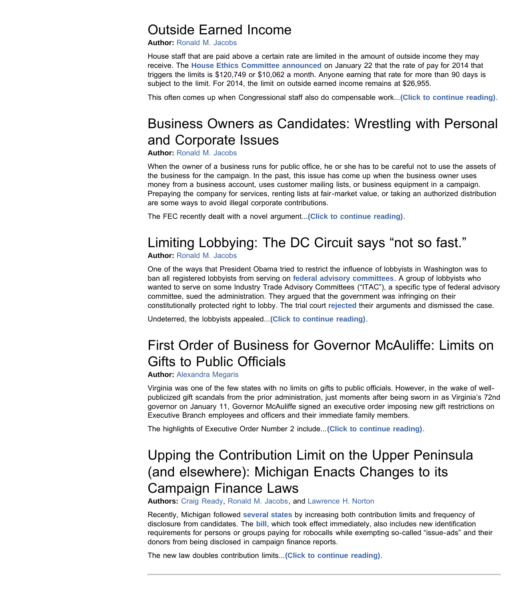#### Outside Earned Income

**Author:** [Ronald M. Jacobs](http://www.venable.com/ronald-m-jacobs/)

House staff that are paid above a certain rate are limited in the amount of outside income they may receive. The **[House Ethics Committee announced](http://ethics.house.gov/sites/ethics.house.gov/files/2014 pay pink sh_0.pdf)** on January 22 that the rate of pay for 2014 that triggers the limits is \$120,749 or \$10,062 a month. Anyone earning that rate for more than 90 days is subject to the limit. For 2014, the limit on outside earned income remains at \$26,955.

This often comes up when Congressional staff also do compensable work...**[\(Click to continue reading\)](http://www.politicallawbriefing.com/2014/01/outside-earned-income/)**.

## Business Owners as Candidates: Wrestling with Personal and Corporate Issues

**Author:** [Ronald M. Jacobs](http://www.venable.com/ronald-m-jacobs/)

When the owner of a business runs for public office, he or she has to be careful not to use the assets of the business for the campaign. In the past, this issue has come up when the business owner uses money from a business account, uses customer mailing lists, or business equipment in a campaign. Prepaying the company for services, renting lists at fair-market value, or taking an authorized distribution are some ways to avoid illegal corporate contributions.

The FEC recently dealt with a novel argument...**[\(Click to continue reading\)](http://www.politicallawbriefing.com/2014/01/business-owners-as-candidates-wrestling-with-personal-and-corporate-issues/)**.

### Limiting Lobbying: The DC Circuit says "not so fast."

**Author:** [Ronald M. Jacobs](http://www.venable.com/ronald-m-jacobs/)

One of the ways that President Obama tried to restrict the influence of lobbyists in Washington was to ban all registered lobbyists from serving on **[federal advisory committees](http://www.gsa.gov/portal/content/100916)**. A group of lobbyists who wanted to serve on some Industry Trade Advisory Committees ("ITAC"), a specific type of federal advisory committee, sued the administration. They argued that the government was infringing on their constitutionally protected right to lobby. The trial court **[rejected](https://ecf.dcd.uscourts.gov/cgi-bin/show_public_doc?2011cv1593-17)** their arguments and dismissed the case.

Undeterred, the lobbyists appealed...**[\(Click to continue reading\)](http://www.politicallawbriefing.com/2014/01/limiting-lobbying-the-dc-circuit-says-not-so-fast/)**.

### First Order of Business for Governor McAuliffe: Limits on Gifts to Public Officials

**Author:** [Alexandra Megaris](http://www.venable.com/alexandra-megaris/)

Virginia was one of the few states with no limits on gifts to public officials. However, in the wake of wellpublicized gift scandals from the prior administration, just moments after being sworn in as Virginia's 72nd governor on January 11, Governor McAuliffe signed an executive order imposing new gift restrictions on Executive Branch employees and officers and their immediate family members.

The highlights of Executive Order Number 2 include...**[\(Click to continue reading\)](http://www.politicallawbriefing.com/2014/01/first-order-of-business-for-governor-mcauliffe-limits-on-gifts-to-public-officials/)**.

### Upping the Contribution Limit on the Upper Peninsula (and elsewhere): Michigan Enacts Changes to its Campaign Finance Laws

**Authors:** [Craig Ready,](http://www.venable.com/craig-ready/) [Ronald M. Jacobs](http://www.venable.com/ronald-m-jacobs/), and [Lawrence H. Norton](http://www.venable.com/lawrence-h-norton/)

Recently, Michigan followed **[several states](http://www.usatoday.com/story/news/politics/2013/12/15/states-increase-campaign-contribution/4000557/)** by increasing both contribution limits and frequency of disclosure from candidates. The **[bill](http://www.legislature.mi.gov/documents/2013-2014/billenrolled/Senate/pdf/2013-SNB-0661.pdf)**, which took effect immediately, also includes new identification requirements for persons or groups paying for robocalls while exempting so-called "issue-ads" and their donors from being disclosed in campaign finance reports.

The new law doubles contribution limits...**[\(Click to continue reading\)](http://www.politicallawbriefing.com/2014/01/upping-the-contribution-limit-on-the-upper-peninsula-and-elsewhere-michigan-enacts-changes-to-its-ca/)**.